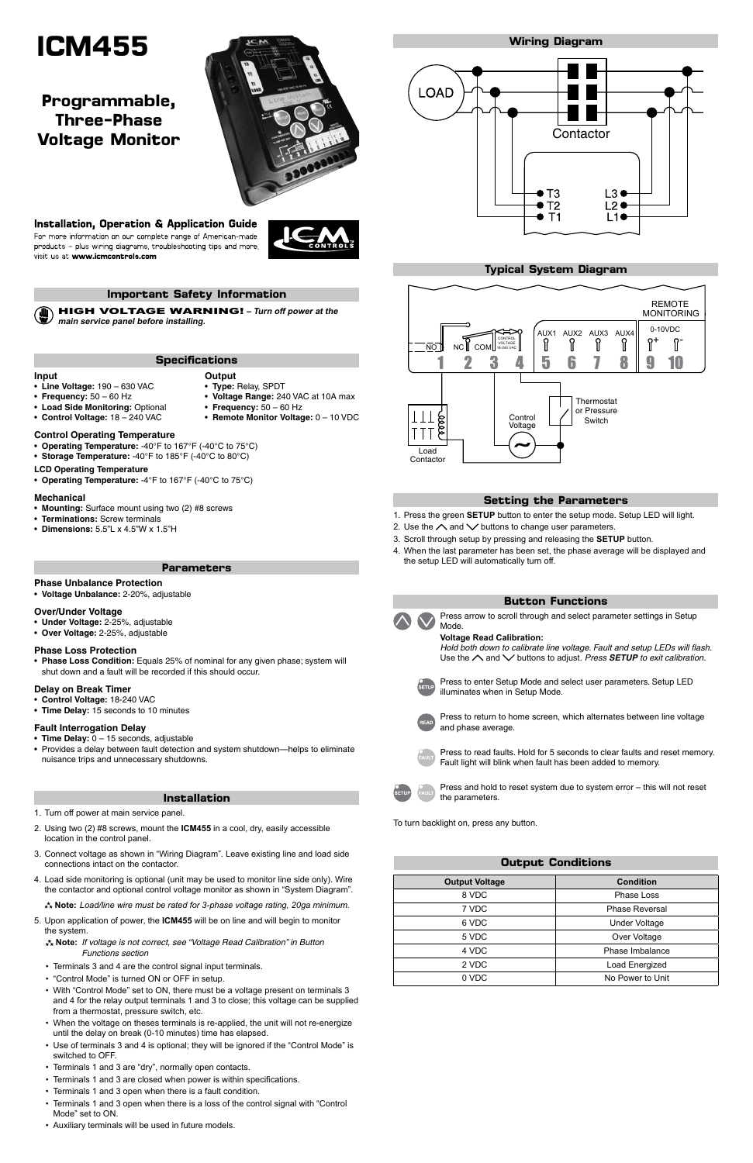# **ICM455**

## **Important Safety Information**

HIGH VOLTAGE WARNING! **– Turn off power at the main service panel before installing.**

# **Programmable, Three-Phase Voltage Monitor**



# Installation, Operation & Application Guide

For more information on our complete range of American-made products - plus wiring diagrams, troubleshooting tips and more, visit us at www.icmcontrols.com

#### **Phase Unbalance Protection**

• **Voltage Unbalance:** 2-20%, adjustable

#### **Over/Under Voltage**

- • **Under Voltage:** 2-25%, adjustable
- • **Over Voltage:** 2-25%, adjustable

#### **Phase Loss Protection**

- **Time Delay:** 0 15 seconds, adjustable
- Provides a delay between fault detection and system shutdown—helps to eliminate nuisance trips and unnecessary shutdowns.

• **Phase Loss Condition:** Equals 25% of nominal for any given phase; system will shut down and a fault will be recorded if this should occur.

#### **Delay on Break Timer**

- • **Control Voltage:** 18-240 VAC
- • **Time Delay:** 15 seconds to 10 minutes

#### **Fault Interrogation Delay**

#### **Parameters**

## **Installation**

- 1. Turn off power at main service panel.
- 2. Using two (2) #8 screws, mount the **ICM455** in a cool, dry, easily accessible location in the control panel.
- Connect voltage as shown in "Wiring Diagram". Leave existing line and load side
- 1. Press the green **SETUP** button to enter the setup mode. Setup LED will light.
- 2. Use the  $\land$  and  $\lor$  buttons to change user parameters.
- 3. Scroll through setup by pressing and releasing the **SETUP** button.
- 4. When the last parameter has been set, the phase average will be displayed and the setup LED will automatically turn off.



*Hold both down to calibrate line voltage. Fault and setup LEDs will flash.*  Use the  $\land$  and  $\lor$  buttons to adjust. *Press SETUP to exit calibration.* 

- connections intact on the contactor.
- 4. Load side monitoring is optional (unit may be used to monitor line side only). Wire the contactor and optional control voltage monitor as shown in "System Diagram".
	- **Note:** *Load/line wire must be rated for 3-phase voltage rating, 20ga minimum.*
- 5. Upon application of power, the **ICM455** will be on line and will begin to monitor the system.
	- **Note:** *If voltage is not correct, see "Voltage Read Calibration" in Button Functions section*
	- • Terminals 3 and 4 are the control signal input terminals.
	- "Control Mode" is turned ON or OFF in setup.
	- With "Control Mode" set to ON, there must be a voltage present on terminals 3 and 4 for the relay output terminals 1 and 3 to close; this voltage can be supplied from a thermostat, pressure switch, etc.
	- When the voltage on theses terminals is re-applied, the unit will not re-energize until the delay on break (0-10 minutes) time has elapsed.
	- Use of terminals 3 and 4 is optional; they will be ignored if the "Control Mode" is switched to OFF.
	- • Terminals 1 and 3 are "dry", normally open contacts.
	- Terminals 1 and 3 are closed when power is within specifications.
	- • Terminals 1 and 3 open when there is a fault condition.
	- Terminals 1 and 3 open when there is a loss of the control signal with "Control Mode" set to ON.
	- • Auxiliary terminals will be used in future models.
- • **Operating Temperature:** -40°F to 167°F (-40°C to 75°C)
- Storage Temperature: -40°F to 185°F (-40°C to 80°C)

## **Setting the Parameters**

| <b>Output Voltage</b> | <b>Condition</b>      |  |
|-----------------------|-----------------------|--|
| 8 VDC                 | Phase Loss            |  |
| 7 VDC                 | <b>Phase Reversal</b> |  |
| 6 VDC                 | <b>Under Voltage</b>  |  |
| 5 VDC                 | Over Voltage          |  |
| 4 VDC                 | Phase Imbalance       |  |
| 2 VDC                 | Load Energized        |  |
| 0 VDC                 | No Power to Unit      |  |

# **Output Conditions**

# **Button Functions**

Press to return to home screen, which alternates between line voltage and phase average.



Press arrow to scroll through and select parameter settings in Setup Mode.

#### **Voltage Read Calibration:**

Press to enter Setup Mode and select user parameters. Setup LED illuminates when in Setup Mode.



Press to read faults. Hold for 5 seconds to clear faults and reset memory. Fault light will blink when fault has been added to memory.



Press and hold to reset system due to system error – this will not reset the parameters.

To turn backlight on, press any button.

**Specifications**

# **Input**

# • **Line Voltage:** 190 – 630 VAC

#### **Control Operating Temperature**

#### **LCD Operating Temperature**

• **Operating Temperature:** -4°F to 167°F (-40°C to 75°C)

- • **Frequency:** 50 60 Hz
- **Output** • **Type:** Relay, SPDT
- • **Voltage Range:** 240 VAC at 10A max
- • **Load Side Monitoring:** Optional
- • **Control Voltage:** 18 240 VAC
- **Frequency:**  $50 60$  Hz • **Remote Monitor Voltage:** 0 – 10 VDC
- 

#### **Mechanical**

- • **Mounting:** Surface mount using two (2) #8 screws
- • **Terminations:** Screw terminals
- • **Dimensions:** 5.5"L x 4.5"W x 1.5"H

# **Typical System Diagram**